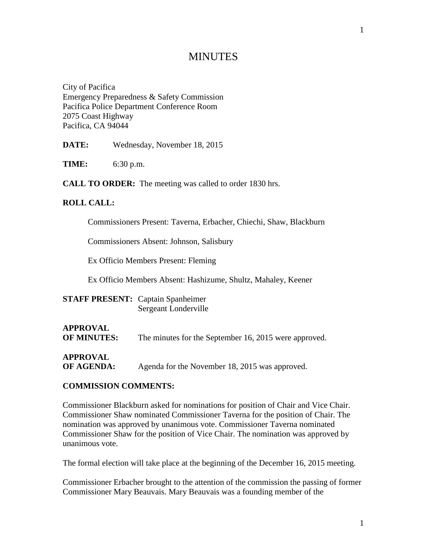# **MINUTES**

City of Pacifica Emergency Preparedness & Safety Commission Pacifica Police Department Conference Room 2075 Coast Highway Pacifica, CA 94044

**DATE:** Wednesday, November 18, 2015

**TIME:** 6:30 p.m.

**CALL TO ORDER:** The meeting was called to order 1830 hrs.

### **ROLL CALL:**

Commissioners Present: Taverna, Erbacher, Chiechi, Shaw, Blackburn

Commissioners Absent: Johnson, Salisbury

Ex Officio Members Present: Fleming

Ex Officio Members Absent: Hashizume, Shultz, Mahaley, Keener

| <b>STAFF PRESENT:</b> Captain Spanheimer |                      |
|------------------------------------------|----------------------|
|                                          | Sergeant Londerville |

# **APPROVAL OF MINUTES:** The minutes for the September 16, 2015 were approved.

**APPROVAL**

**OF AGENDA:** Agenda for the November 18, 2015 was approved.

### **COMMISSION COMMENTS:**

Commissioner Blackburn asked for nominations for position of Chair and Vice Chair. Commissioner Shaw nominated Commissioner Taverna for the position of Chair. The nomination was approved by unanimous vote. Commissioner Taverna nominated Commissioner Shaw for the position of Vice Chair. The nomination was approved by unanimous vote.

The formal election will take place at the beginning of the December 16, 2015 meeting.

Commissioner Erbacher brought to the attention of the commission the passing of former Commissioner Mary Beauvais. Mary Beauvais was a founding member of the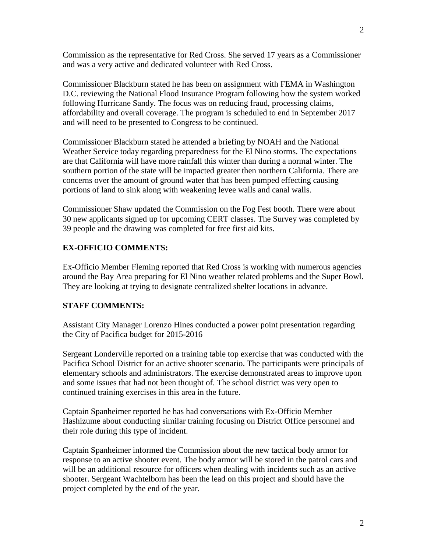Commission as the representative for Red Cross. She served 17 years as a Commissioner and was a very active and dedicated volunteer with Red Cross.

Commissioner Blackburn stated he has been on assignment with FEMA in Washington D.C. reviewing the National Flood Insurance Program following how the system worked following Hurricane Sandy. The focus was on reducing fraud, processing claims, affordability and overall coverage. The program is scheduled to end in September 2017 and will need to be presented to Congress to be continued.

Commissioner Blackburn stated he attended a briefing by NOAH and the National Weather Service today regarding preparedness for the El Nino storms. The expectations are that California will have more rainfall this winter than during a normal winter. The southern portion of the state will be impacted greater then northern California. There are concerns over the amount of ground water that has been pumped effecting causing portions of land to sink along with weakening levee walls and canal walls.

Commissioner Shaw updated the Commission on the Fog Fest booth. There were about 30 new applicants signed up for upcoming CERT classes. The Survey was completed by 39 people and the drawing was completed for free first aid kits.

### **EX-OFFICIO COMMENTS:**

Ex-Officio Member Fleming reported that Red Cross is working with numerous agencies around the Bay Area preparing for El Nino weather related problems and the Super Bowl. They are looking at trying to designate centralized shelter locations in advance.

### **STAFF COMMENTS:**

Assistant City Manager Lorenzo Hines conducted a power point presentation regarding the City of Pacifica budget for 2015-2016

Sergeant Londerville reported on a training table top exercise that was conducted with the Pacifica School District for an active shooter scenario. The participants were principals of elementary schools and administrators. The exercise demonstrated areas to improve upon and some issues that had not been thought of. The school district was very open to continued training exercises in this area in the future.

Captain Spanheimer reported he has had conversations with Ex-Officio Member Hashizume about conducting similar training focusing on District Office personnel and their role during this type of incident.

Captain Spanheimer informed the Commission about the new tactical body armor for response to an active shooter event. The body armor will be stored in the patrol cars and will be an additional resource for officers when dealing with incidents such as an active shooter. Sergeant Wachtelborn has been the lead on this project and should have the project completed by the end of the year.